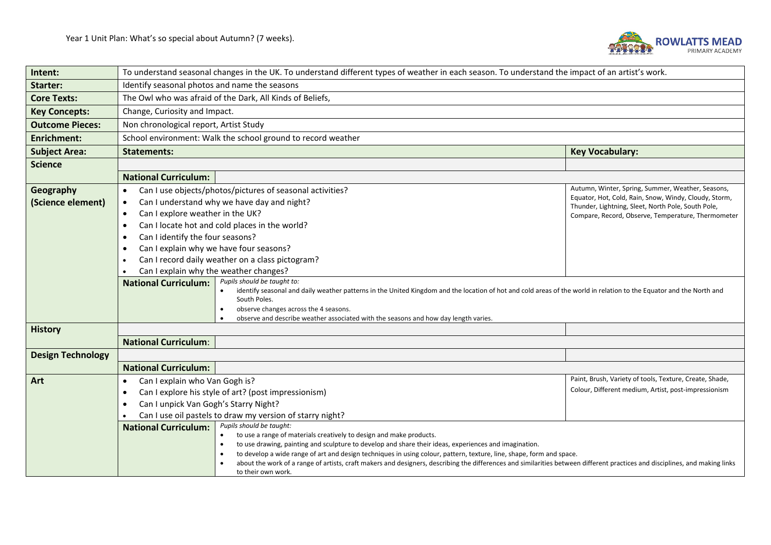

| Intent:                        | To understand seasonal changes in the UK. To understand different types of weather in each season. To understand the impact of an artist's work.                                                  |                                                                                                                                                                  |  |  |
|--------------------------------|---------------------------------------------------------------------------------------------------------------------------------------------------------------------------------------------------|------------------------------------------------------------------------------------------------------------------------------------------------------------------|--|--|
| <b>Starter:</b>                | Identify seasonal photos and name the seasons                                                                                                                                                     |                                                                                                                                                                  |  |  |
| <b>Core Texts:</b>             | The Owl who was afraid of the Dark, All Kinds of Beliefs,                                                                                                                                         |                                                                                                                                                                  |  |  |
| <b>Key Concepts:</b>           | Change, Curiosity and Impact.                                                                                                                                                                     |                                                                                                                                                                  |  |  |
| <b>Outcome Pieces:</b>         | Non chronological report, Artist Study                                                                                                                                                            |                                                                                                                                                                  |  |  |
| <b>Enrichment:</b>             | School environment: Walk the school ground to record weather                                                                                                                                      |                                                                                                                                                                  |  |  |
| <b>Subject Area:</b>           | <b>Key Vocabulary:</b><br><b>Statements:</b>                                                                                                                                                      |                                                                                                                                                                  |  |  |
| <b>Science</b>                 |                                                                                                                                                                                                   |                                                                                                                                                                  |  |  |
|                                | <b>National Curriculum:</b>                                                                                                                                                                       |                                                                                                                                                                  |  |  |
| Geography<br>(Science element) | Can I use objects/photos/pictures of seasonal activities?<br>$\bullet$<br>Can I understand why we have day and night?<br>$\bullet$                                                                | Autumn, Winter, Spring, Summer, Weather, Seasons,<br>Equator, Hot, Cold, Rain, Snow, Windy, Cloudy, Storm,<br>Thunder, Lightning, Sleet, North Pole, South Pole, |  |  |
|                                | Can I explore weather in the UK?<br>$\bullet$                                                                                                                                                     | Compare, Record, Observe, Temperature, Thermometer                                                                                                               |  |  |
|                                | Can I locate hot and cold places in the world?<br>$\bullet$                                                                                                                                       |                                                                                                                                                                  |  |  |
|                                | Can I identify the four seasons?<br>$\bullet$                                                                                                                                                     |                                                                                                                                                                  |  |  |
|                                | Can I explain why we have four seasons?                                                                                                                                                           |                                                                                                                                                                  |  |  |
|                                | Can I record daily weather on a class pictogram?                                                                                                                                                  |                                                                                                                                                                  |  |  |
|                                | Can I explain why the weather changes?<br>Pupils should be taught to:<br><b>National Curriculum:</b>                                                                                              |                                                                                                                                                                  |  |  |
|                                | identify seasonal and daily weather patterns in the United Kingdom and the location of hot and cold areas of the world in relation to the Equator and the North and<br>South Poles.               |                                                                                                                                                                  |  |  |
|                                | observe changes across the 4 seasons.<br>observe and describe weather associated with the seasons and how day length varies.                                                                      |                                                                                                                                                                  |  |  |
| <b>History</b>                 |                                                                                                                                                                                                   |                                                                                                                                                                  |  |  |
|                                | <b>National Curriculum:</b>                                                                                                                                                                       |                                                                                                                                                                  |  |  |
| <b>Design Technology</b>       |                                                                                                                                                                                                   |                                                                                                                                                                  |  |  |
|                                | <b>National Curriculum:</b>                                                                                                                                                                       |                                                                                                                                                                  |  |  |
| Art                            | Can I explain who Van Gogh is?                                                                                                                                                                    | Paint, Brush, Variety of tools, Texture, Create, Shade,                                                                                                          |  |  |
|                                | Colour, Different medium, Artist, post-impressionism<br>Can I explore his style of art? (post impressionism)<br>$\bullet$                                                                         |                                                                                                                                                                  |  |  |
|                                | Can I unpick Van Gogh's Starry Night?<br>$\bullet$                                                                                                                                                |                                                                                                                                                                  |  |  |
|                                | Can I use oil pastels to draw my version of starry night?                                                                                                                                         |                                                                                                                                                                  |  |  |
|                                | Pupils should be taught:<br><b>National Curriculum:</b><br>to use a range of materials creatively to design and make products.<br>$\bullet$                                                       |                                                                                                                                                                  |  |  |
|                                | to use drawing, painting and sculpture to develop and share their ideas, experiences and imagination.<br>$\bullet$                                                                                |                                                                                                                                                                  |  |  |
|                                | to develop a wide range of art and design techniques in using colour, pattern, texture, line, shape, form and space.                                                                              |                                                                                                                                                                  |  |  |
|                                | about the work of a range of artists, craft makers and designers, describing the differences and similarities between different practices and disciplines, and making links<br>to their own work. |                                                                                                                                                                  |  |  |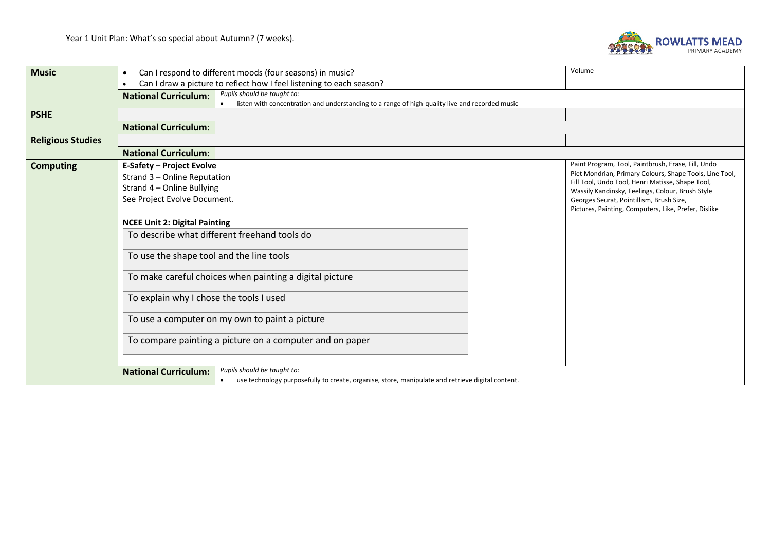

| Can I respond to different moods (four seasons) in music?<br>$\bullet$                           | Volume                                                                                                                                                            |  |  |  |
|--------------------------------------------------------------------------------------------------|-------------------------------------------------------------------------------------------------------------------------------------------------------------------|--|--|--|
| $\bullet$                                                                                        |                                                                                                                                                                   |  |  |  |
| Pupils should be taught to:                                                                      |                                                                                                                                                                   |  |  |  |
| listen with concentration and understanding to a range of high-quality live and recorded music   |                                                                                                                                                                   |  |  |  |
| <b>PSHE</b><br><b>National Curriculum:</b>                                                       |                                                                                                                                                                   |  |  |  |
|                                                                                                  |                                                                                                                                                                   |  |  |  |
| <b>National Curriculum:</b>                                                                      |                                                                                                                                                                   |  |  |  |
| <b>E-Safety - Project Evolve</b>                                                                 | Paint Program, Tool, Paintbrush, Erase, Fill, Undo                                                                                                                |  |  |  |
| Strand 3 - Online Reputation                                                                     | Piet Mondrian, Primary Colours, Shape Tools, Line Tool,<br>Fill Tool, Undo Tool, Henri Matisse, Shape Tool,                                                       |  |  |  |
| Strand 4 - Online Bullying                                                                       | Wassily Kandinsky, Feelings, Colour, Brush Style                                                                                                                  |  |  |  |
| See Project Evolve Document.                                                                     | Georges Seurat, Pointillism, Brush Size,                                                                                                                          |  |  |  |
|                                                                                                  | Pictures, Painting, Computers, Like, Prefer, Dislike                                                                                                              |  |  |  |
| <b>NCEE Unit 2: Digital Painting</b>                                                             |                                                                                                                                                                   |  |  |  |
| To describe what different freehand tools do                                                     |                                                                                                                                                                   |  |  |  |
| To use the shape tool and the line tools                                                         |                                                                                                                                                                   |  |  |  |
| To make careful choices when painting a digital picture                                          |                                                                                                                                                                   |  |  |  |
| To explain why I chose the tools I used                                                          |                                                                                                                                                                   |  |  |  |
| To use a computer on my own to paint a picture                                                   |                                                                                                                                                                   |  |  |  |
| To compare painting a picture on a computer and on paper                                         |                                                                                                                                                                   |  |  |  |
|                                                                                                  |                                                                                                                                                                   |  |  |  |
| use technology purposefully to create, organise, store, manipulate and retrieve digital content. |                                                                                                                                                                   |  |  |  |
|                                                                                                  | Can I draw a picture to reflect how I feel listening to each season?<br><b>National Curriculum:</b><br>Pupils should be taught to:<br><b>National Curriculum:</b> |  |  |  |